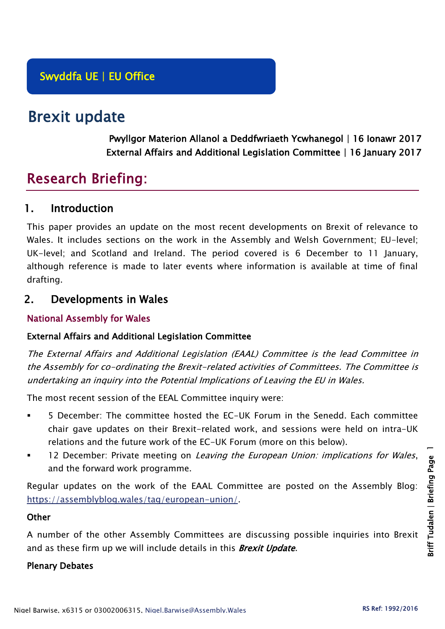# Brexit update

Pwyllgor Materion Allanol a Deddfwriaeth Ycwhanegol | 16 Ionawr 2017 External Affairs and Additional Legislation Committee | 16 January 2017

# Research Briefing:

# 1. Introduction

This paper provides an update on the most recent developments on Brexit of relevance to Wales. It includes sections on the work in the Assembly and Welsh Government; EU-level; UK-level; and Scotland and Ireland. The period covered is 6 December to 11 January, although reference is made to later events where information is available at time of final drafting.

# 2. Developments in Wales

# National Assembly for Wales

# External Affairs and Additional Legislation Committee

The External Affairs and Additional Legislation (EAAL) Committee is the lead Committee in the Assembly for co-ordinating the Brexit-related activities of Committees. The Committee is undertaking an inquiry into the Potential Implications of Leaving the EU in Wales.

The most recent session of the EEAL Committee inquiry were:

- 5 December: The committee hosted the EC-UK Forum in the Senedd. Each committee chair gave updates on their Brexit-related work, and sessions were held on intra-UK relations and the future work of the EC-UK Forum (more on this below).
- 12 December: Private meeting on Leaving the European Union: implications for Wales, and the forward work programme.

Regular updates on the work of the EAAL Committee are posted on the Assembly Blog: [https://assemblyblog.wales/tag/european-union/.](https://assemblyblog.wales/tag/european-union/)

# **Other**

A number of the other Assembly Committees are discussing possible inquiries into Brexit and as these firm up we will include details in this **Brexit Update**.

# Plenary Debates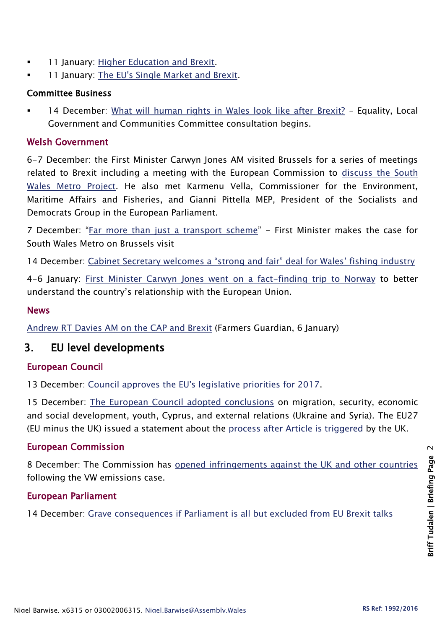- **11 January: [Higher Education and Brexit.](http://www.assembly.wales/en/bus-home/pages/rop.aspx?meetingid=4074&assembly=5&c=Record%20of%20Proceedings#450851)**
- 11 January: [The EU's Single Market and Brexit.](http://www.assembly.wales/en/bus-home/pages/rop.aspx?meetingid=4074&assembly=5&c=Record%20of%20Proceedings#450967)

#### Committee Business

 14 December: [What will human rights in Wales look like after Brexit?](http://senedd.assembly.wales/mgIssueHistoryHome.aspx?IId=16644) – Equality, Local Government and Communities Committee consultation begins.

## Welsh Government

6-7 December: the First Minister Carwyn Jones AM visited Brussels for a series of meetings related to Brexit including a meeting with the European Commission to [discuss the South](http://gov.wales/newsroom/firstminister/2016/161207-far-more-than-just-a-transport-scheme/?lang=en)  [Wales Metro Project.](http://gov.wales/newsroom/firstminister/2016/161207-far-more-than-just-a-transport-scheme/?lang=en) He also met Karmenu Vella, Commissioner for the Environment, Maritime Affairs and Fisheries, and Gianni Pittella MEP, President of the Socialists and Democrats Group in the European Parliament.

7 December: "[Far more than just a transport scheme](http://gov.wales/newsroom/firstminister/2016/161207-far-more-than-just-a-transport-scheme/?lang=en)" - First Minister makes the case for South Wales Metro on Brussels visit

14 December: [Cabinet Secretary welcomes a "strong and fair" deal for Wales' fishing industry](http://gov.wales/newsroom/environmentandcountryside/2016/161214-cabinet-secretary-welcomes-a-strong-and-fair-deal-for-wales-fishing-industry/?lang=en)

4-6 January: [First Minister Carwyn Jones went on a fact-finding trip to Norway](http://gov.wales/newsroom/firstminister/2017/170104norway/?lang=en) to better understand the country's relationship with the European Union.

### News

[Andrew RT Davies AM on the CAP and Brexit](https://www.fginsight.com/news/news/andrew-rt-davies-the-cap-does-not-fit-17790) (Farmers Guardian, 6 January)

# 3. EU level developments

# European Council

13 December: [Council approves the EU's legislative priorities for 2017.](http://www.consilium.europa.eu/en/press/press-releases/2016/12/13-council-approves-eu-legislative-priorities-2017/)

15 December: [The European Council adopted conclusions](http://www.consilium.europa.eu/en/meetings/european-council/2016/12/20161215-euco-conclusions-final_pdf/) on migration, security, economic and social development, youth, Cyprus, and external relations (Ukraine and Syria). The EU27 (EU minus the UK) issued a statement about the [process after Article is triggered](http://www.consilium.europa.eu/en/meetings/european-council/2016/12/20161215-statement-informal-meeting-27_pdf/) by the UK.

# European Commission

8 December: The Commission has [opened infringements against the UK and other countries](http://europa.eu/rapid/press-release_IP-16-4214_en.htm) following the VW emissions case.

# European Parliament

14 December: [Grave consequences if Parliament is all but excluded from EU Brexit talks](http://www.europarl.europa.eu/news/en/news-room/20161214IPR56183/grave-consequences-if-parliament-is-all-but-excluded-from-eu-brexit-talks)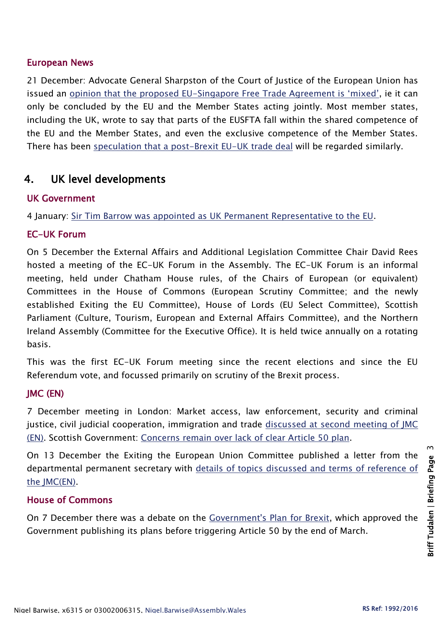#### European News

21 December: Advocate General Sharpston of the Court of Justice of the European Union has issued an opinion that the proposed EU-[Singapore Free Trade Agreement is 'mixed'](http://curia.europa.eu/jcms/upload/docs/application/pdf/2016-12/cp160147en.pdf), ie it can only be concluded by the EU and the Member States acting jointly. Most member states, including the UK, wrote to say that parts of the EUSFTA fall within the shared competence of the EU and the Member States, and even the exclusive competence of the Member States. There has been [speculation that a post-Brexit EU-UK trade deal](http://www.telegraph.co.uk/news/2016/12/21/eus-national-regional-parliaments-get-brexit-deal-veto/?WT.mc_id=tmgliveapp_iosshare_AnGZg1cwm06V) will be regarded similarly.

# 4. UK level developments

#### UK Government

4 January: [Sir Tim Barrow was appointed as UK Permanent Representative to the EU.](https://www.gov.uk/government/news/sir-tim-barrow-appointed-as-uk-permanent-representative-to-the-eu)

### EC-UK Forum

On 5 December the External Affairs and Additional Legislation Committee Chair David Rees hosted a meeting of the EC-UK Forum in the Assembly. The EC-UK Forum is an informal meeting, held under Chatham House rules, of the Chairs of European (or equivalent) Committees in the House of Commons (European Scrutiny Committee; and the newly established Exiting the EU Committee), House of Lords (EU Select Committee), Scottish Parliament (Culture, Tourism, European and External Affairs Committee), and the Northern Ireland Assembly (Committee for the Executive Office). It is held twice annually on a rotating basis.

This was the first EC-UK Forum meeting since the recent elections and since the EU Referendum vote, and focussed primarily on scrutiny of the Brexit process.

# JMC (EN)

7 December meeting in London: Market access, law enforcement, security and criminal justice, civil judicial cooperation, immigration and trade [discussed at second meeting of JMC](https://www.gov.uk/government/uploads/system/uploads/attachment_data/file/575739/07122016JMCENDraftcommuniqueupdated.docx.pdf)  [\(EN\).](https://www.gov.uk/government/uploads/system/uploads/attachment_data/file/575739/07122016JMCENDraftcommuniqueupdated.docx.pdf) Scottish Government: [Concerns remain over lack of clear Article 50 plan.](http://news.gov.scot/news/concerns-remain-over-lack-of-clear-article-50-plan)

On 13 December the Exiting the European Union Committee published a letter from the departmental permanent secretary with [details of topics discussed and terms of reference of](http://www.parliament.uk/documents/commons-committees/Exiting-the-European-Union/16-17/Correspondence/161213-Response-to-EU-Exit-Select-Committee.pdf)  [the JMC\(EN\).](http://www.parliament.uk/documents/commons-committees/Exiting-the-European-Union/16-17/Correspondence/161213-Response-to-EU-Exit-Select-Committee.pdf)

#### House of Commons

On 7 December there was a debate on the [Government's Plan](https://hansard.parliament.uk/commons/2016-12-07/debates/CA09D9B2-9634-41C8-8979-8B9CD82DBB8F/TheGovernmentSPlanForBrexit) for Brexit, which approved the Government publishing its plans before triggering Article 50 by the end of March.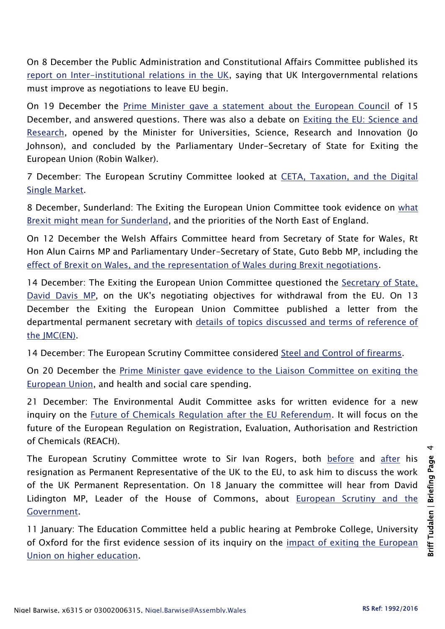On 8 December the Public Administration and Constitutional Affairs Committee published its [report on Inter-institutional relations in the UK,](http://www.publications.parliament.uk/pa/cm201617/cmselect/cmpubadm/839/83902.htm) saying that UK Intergovernmental relations must improve as negotiations to leave EU begin.

On 19 December the [Prime Minister gave a statement about the European Council](https://hansard.parliament.uk/commons/2016-12-19/debates/605D7654-DF44-4B82-A2A5-C07448B2FCD6/EuropeanCouncil2016) of 15 December, and answered questions. There was also a debate on [Exiting the EU: Science and](https://hansard.parliament.uk/commons/2016-12-19/debates/292C9A19-9A13-482A-961B-F893AEE899E9/ExitingTheEUScienceAndResearch)  [Research,](https://hansard.parliament.uk/commons/2016-12-19/debates/292C9A19-9A13-482A-961B-F893AEE899E9/ExitingTheEUScienceAndResearch) opened by the Minister for Universities, Science, Research and Innovation (Jo Johnson), and concluded by the Parliamentary Under-Secretary of State for Exiting the European Union (Robin Walker).

7 December: The European Scrutiny Committee looked at [CETA, Taxation, and the Digital](http://data.parliament.uk/writtenevidence/committeeevidence.svc/evidencedocument/european-scrutiny-committee/meeting-summary-201516/oral/44387.pdf)  [Single Market.](http://data.parliament.uk/writtenevidence/committeeevidence.svc/evidencedocument/european-scrutiny-committee/meeting-summary-201516/oral/44387.pdf)

8 December, Sunderland: The Exiting the European Union Committee took evidence on [what](http://www.parliament.uk/business/committees/committees-a-z/commons-select/exiting-the-european-union-committee/news-parliament-2015/negotiating-objectives-for-eu-withdrawal-sunderland-evidence-16-17/)  [Brexit might mean for Sunderland,](http://www.parliament.uk/business/committees/committees-a-z/commons-select/exiting-the-european-union-committee/news-parliament-2015/negotiating-objectives-for-eu-withdrawal-sunderland-evidence-16-17/) and the priorities of the North East of England.

On 12 December the Welsh Affairs Committee heard from Secretary of State for Wales, Rt Hon Alun Cairns MP and Parliamentary Under-Secretary of State, Guto Bebb MP, including the [effect of Brexit on Wales, and the representation of Wales during Brexit negotiations.](http://www.parliament.uk/business/committees/committees-a-z/commons-select/welsh-affairs-committee/news-parliament-2015/brexit-ev1-cairns-bebb-16-17/)

14 December: The Exiting the European Union Committee questioned the [Secretary of State,](http://www.parliament.uk/business/committees/committees-a-z/commons-select/exiting-the-european-union-committee/news-parliament-2015/uk-negotiating-objectives-for-eu-withdrawal-evidence-16-17/)  [David Davis MP,](http://www.parliament.uk/business/committees/committees-a-z/commons-select/exiting-the-european-union-committee/news-parliament-2015/uk-negotiating-objectives-for-eu-withdrawal-evidence-16-17/) on the UK's negotiating objectives for withdrawal from the EU. On 13 December the Exiting the European Union Committee published a letter from the departmental permanent secretary with [details of topics discussed and terms of reference of](http://www.parliament.uk/documents/commons-committees/Exiting-the-European-Union/16-17/Correspondence/161213-Response-to-EU-Exit-Select-Committee.pdf)  [the JMC\(EN\).](http://www.parliament.uk/documents/commons-committees/Exiting-the-European-Union/16-17/Correspondence/161213-Response-to-EU-Exit-Select-Committee.pdf)

14 December: The European Scrutiny Committee considered [Steel and Control of firearms.](http://data.parliament.uk/writtenevidence/committeeevidence.svc/evidencedocument/european-scrutiny-committee/meeting-summary-201516/oral/44696.pdf)

On 20 December the [Prime Minister gave evidence to the Liaison Committee on exiting the](http://www.parliament.uk/documents/commons-committees/liaison/Prime-Minister-evidence-December-2016.pdf)  [European Union,](http://www.parliament.uk/documents/commons-committees/liaison/Prime-Minister-evidence-December-2016.pdf) and health and social care spending.

21 December: The Environmental Audit Committee asks for written evidence for a new inquiry on the [Future of Chemicals Regulation after the EU Referendum.](http://www.parliament.uk/business/committees/committees-a-z/commons-select/environmental-audit-committee/news-parliament-2015/future-chemicals-regulation-inquiry-launch-16-17/) It will focus on the future of the European Regulation on Registration, Evaluation, Authorisation and Restriction of Chemicals (REACH).

The European Scrutiny Committee wrote to Sir Ivan Rogers, both [before](http://www.parliament.uk/documents/commons-committees/european-scrutiny/Sir-Ivan-Rogers-invite-evidence-session-151216.pdf) and [after](http://www.parliament.uk/documents/commons-committees/european-scrutiny/Sir-Ivan-rogers-further-letter-040117.pdf) his resignation as Permanent Representative of the UK to the EU, to ask him to discuss the work of the UK Permanent Representation. On 18 January the committee will hear from David Lidington MP, Leader of the House of Commons, about European Scrutiny and the [Government.](http://www.parliament.uk/business/committees/committees-a-z/commons-select/european-scrutiny-committee/)

11 January: The Education Committee held a public hearing at Pembroke College, University of Oxford for the first evidence session of its inquiry on the impact of exiting the European [Union on higher education.](http://www.parliament.uk/business/committees/committees-a-z/commons-select/education-committee/news-parliament-2015/brexit-higher-education-evidence-16-17/)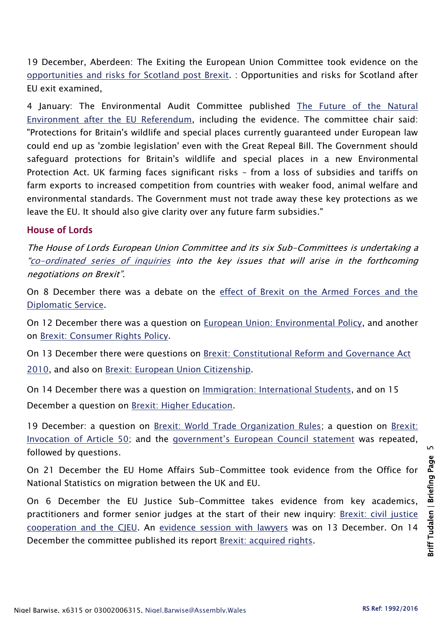19 December, Aberdeen: The Exiting the European Union Committee took evidence on the [opportunities and risks for Scotland post Brexit.](http://data.parliament.uk/writtenevidence/committeeevidence.svc/evidencedocument/exiting-the-european-union-committee/the-uks-negotiating-objectives-for-its-withdrawal-from-the-eu/oral/44763.html) : Opportunities and risks for Scotland after EU exit examined,

4 January: The Environmental Audit Committee published The Future of the Natural [Environment after the EU Referendum,](http://www.publications.parliament.uk/pa/cm201617/cmselect/cmenvaud/599/59902.htm) including the evidence. The committee chair said: "Protections for Britain's wildlife and special places currently guaranteed under European law could end up as 'zombie legislation' even with the Great Repeal Bill. The Government should safeguard protections for Britain's wildlife and special places in a new Environmental Protection Act. UK farming faces significant risks – from a loss of subsidies and tariffs on farm exports to increased competition from countries with weaker food, animal welfare and environmental standards. The Government must not trade away these key protections as we leave the EU. It should also give clarity over any future farm subsidies."

# House of Lords

The House of Lords European Union Committee and its six Sub-Committees is undertaking a "[co-ordinated series of inquiries](http://www.parliament.uk/business/committees/committees-a-z/lords-select/eu-select-committee-/news-parliament-2015/co-ordinated-inquries-launch/) into the key issues that will arise in the forthcoming negotiations on Brexit".

On 8 December there was a debate on the [effect of Brexit on the Armed Forces and the](https://hansard.parliament.uk/Lords/2016-12-08/debates/C7EEA7F0-D43F-4214-8C79-A23019A9FE8F/BrexitArmedForcesAndDiplomaticService)  [Diplomatic Service.](https://hansard.parliament.uk/Lords/2016-12-08/debates/C7EEA7F0-D43F-4214-8C79-A23019A9FE8F/BrexitArmedForcesAndDiplomaticService)

On 12 December there was a question on [European Union: Environmental Policy,](https://hansard.parliament.uk/lords/2016-12-12/debates/8C62D00C-619B-4590-9194-A2B06DECF90C/EuropeanUnionEnvironmentalPolicy) and another on [Brexit: Consumer Rights Policy.](https://hansard.parliament.uk/lords/2016-12-12/debates/A4CD63B8-E9C5-4F2F-84E3-3127459FEADB/BrexitConsumerRightsPolicy)

On 13 December there were questions on [Brexit: Constitutional Reform and Governance Act](https://hansard.parliament.uk/lords/2016-12-13/debates/5004B328-4930-471B-B941-0535FF245C8E/BrexitConstitutionalReformAndGovernanceAct2010)  [2010,](https://hansard.parliament.uk/lords/2016-12-13/debates/5004B328-4930-471B-B941-0535FF245C8E/BrexitConstitutionalReformAndGovernanceAct2010) and also on [Brexit: European Union Citizenship.](https://hansard.parliament.uk/lords/2016-12-13/debates/7DF9AD0E-12FA-458F-8D2C-0ECB77F75804/BrexitEuropeanUnionCitizenship)

On 14 December there was a question on [Immigration: International Students,](https://hansard.parliament.uk/lords/2016-12-14/debates/C803CF1E-BC3E-4462-9FF4-A4AAFC583288/ImmigrationInternationalStudents) and on 15 December a question on [Brexit: Higher Education.](https://hansard.parliament.uk/lords/2016-12-15/debates/A27DA2A8-3FAC-490F-A1B7-1498D2BC0E08/BrexitHigherEducation)

19 December: a question on [Brexit: World Trade Organization Rules;](https://hansard.parliament.uk/lords/2016-12-19/debates/35109A6B-70B5-43ED-BBA9-BCC0A27D379E/BrexitWorldTradeOrganizationRules) a question on [Brexit:](https://hansard.parliament.uk/lords/2016-12-19/debates/31CECB77-7662-40C0-A20B-E42070F56780/BrexitInvocationOfArticle50)  [Invocation of Article 50;](https://hansard.parliament.uk/lords/2016-12-19/debates/31CECB77-7662-40C0-A20B-E42070F56780/BrexitInvocationOfArticle50) and the [government's European Council statement](https://hansard.parliament.uk/lords/2016-12-19/debates/33F1A512-73A5-4F0A-860F-F5A9EFFDB9FE/EuropeanCouncilDecember2016) was repeated, followed by questions.

On 21 December the EU Home Affairs Sub-Committee took evidence from the Office for National Statistics on migration between the UK and EU.

On 6 December the EU Justice Sub-Committee takes evidence from key academics, practitioners and former senior judges at the start of their new inquiry: Brexit: civil justice [cooperation and the CJEU.](http://www.parliament.uk/business/committees/committees-a-z/lords-select/eu-justice-subcommittee/inquiries/parliament-2015/brexit-civil-justice-cooperation/) An [evidence session](http://www.parliament.uk/business/committees/committees-a-z/lords-select/eu-justice-subcommittee/news-parliament-2015/brexit-cjo-harris-lord-jones/) with lawyers was on 13 December. On 14 December the committee published its report [Brexit: acquired rights.](http://www.publications.parliament.uk/pa/ld201617/ldselect/ldeucom/82/82.pdf)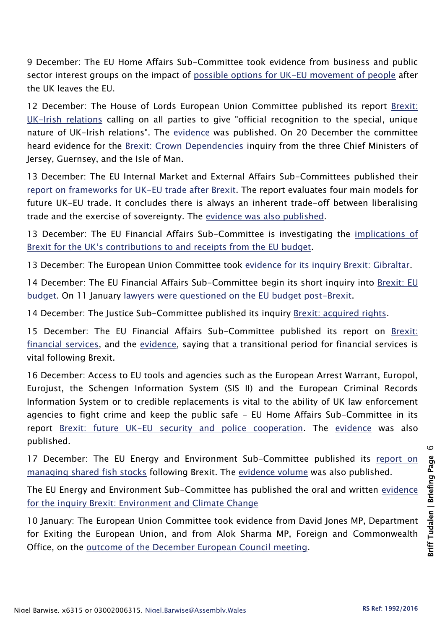9 December: The EU Home Affairs Sub-Committee took evidence from business and public sector interest groups on the impact of [possible options for UK-EU movement of people](http://www.parliament.uk/business/committees/committees-a-z/lords-select/eu-home-affairs-subcommittee/news-parliament-2015/business-groups-eu--migration/) after the UK leaves the EU.

12 December: The House of Lords European Union Committee published its report Brexit: [UK-Irish relations](http://www.publications.parliament.uk/pa/ld201617/ldselect/ldeucom/76/76.pdf) calling on all parties to give "official recognition to the special, unique nature of UK-Irish relations". The [evidence](http://www.parliament.uk/documents/lords-committees/eu-select/Brexit-UK-Irish-Evidence-Volume.pdf) was published. On 20 December the committee heard evidence for the [Brexit: Crown Dependencies](http://www.parliament.uk/business/committees/committees-a-z/lords-select/eu-select-committee-/inquiries/parliament-2015/brexit-crown-dependencies/) inquiry from the three Chief Ministers of Jersey, Guernsey, and the Isle of Man.

13 December: The EU Internal Market and External Affairs Sub-Committees published their [report on frameworks for UK-EU trade after Brexit.](http://www.publications.parliament.uk/pa/ld201617/ldselect/ldeucom/72/72.pdf) The report evaluates four main models for future UK-EU trade. It concludes there is always an inherent trade-off between liberalising trade and the exercise of sovereignty. The [evidence was also published.](http://www.parliament.uk/documents/lords-committees/eu-sub-com-b/Evidence%20volume-Brexit-options%20for%20trade.pdf)

13 December: The EU Financial Affairs Sub-Committee is investigating the [implications of](http://www.parliament.uk/business/committees/committees-a-z/lords-select/eu-financial-affairs-subcommittee/news-parliament-2015/brexit-eu-budget-inquiry-launch/)  [Brexit for the UK's contributions to and receipts from the EU budget](http://www.parliament.uk/business/committees/committees-a-z/lords-select/eu-financial-affairs-subcommittee/news-parliament-2015/brexit-eu-budget-inquiry-launch/).

13 December: The European Union Committee took [evidence for its inquiry Brexit: Gibraltar.](http://data.parliament.uk/writtenevidence/committeeevidence.svc/evidencedocument/european-union-committee/brexit-gibraltar/oral/44694.html)

14 December: The EU Financial Affairs Sub-Committee begin its short inquiry into [Brexit: EU](http://www.parliament.uk/business/committees/committees-a-z/lords-select/eu-financial-affairs-subcommittee/news-parliament-2015/eu-budget-academics-evidence-session/)  [budget.](http://www.parliament.uk/business/committees/committees-a-z/lords-select/eu-financial-affairs-subcommittee/news-parliament-2015/eu-budget-academics-evidence-session/) On 11 January [lawyers were questioned on the EU budget post-Brexit.](http://www.parliament.uk/business/committees/committees-a-z/lords-select/eu-financial-affairs-subcommittee/news-parliament-2015/lawyers-questioned-eu-budget/)

14 December: The Justice Sub-Committee published its inquiry [Brexit: acquired rights.](http://www.publications.parliament.uk/pa/ld201617/ldselect/ldeucom/82/82.pdf)

15 December: The EU Financial Affairs Sub-Committee published its report on [Brexit:](http://www.publications.parliament.uk/pa/ld201617/ldselect/ldeucom/81/81.pdf)  [financial services,](http://www.publications.parliament.uk/pa/ld201617/ldselect/ldeucom/81/81.pdf) and the [evidence,](http://documents/lords-committees/eu-financial-affairs-subcommittee/Brexit-financial-services/Brexit-financial-services-evidence-volume.pdf) saying that a transitional period for financial services is vital following Brexit.

16 December: Access to EU tools and agencies such as the European Arrest Warrant, Europol, Eurojust, the Schengen Information System (SIS II) and the European Criminal Records Information System or to credible replacements is vital to the ability of UK law enforcement agencies to fight crime and keep the public safe - EU Home Affairs Sub-Committee in its report [Brexit: future UK-EU security and police cooperation.](http://www.publications.parliament.uk/pa/ld201617/ldselect/ldeucom/77/77.pdf) The [evidence](http://www.parliament.uk/documents/lords-committees/eu-home-affairs-subcommittee/Evidence-Brexit-Policing.pdf) was also published.

17 December: The EU Energy and Environment Sub-Committee published its [report on](http://www.publications.parliament.uk/pa/ld201617/ldselect/ldeucom/78/78.pdf)  [managing shared fish stocks](http://www.publications.parliament.uk/pa/ld201617/ldselect/ldeucom/78/78.pdf) following Brexit. The [evidence volume](http://www.parliament.uk/documents/lords-committees/eu-energy-environment-subcommittee/Brexit-fisheries/Fisheries-evidence-volume-Written-Oral.pdf) was also published.

The EU Energy and Environment Sub-Committee has published the oral and written [evidence](http://www.parliament.uk/documents/lords-committees/eu-energy-environment-subcommittee/Brexit-environment-climate-change/Brexit-Environment-Climate-Change-Written-Oral-Evidence-Volume.pdf)  [for the inquiry Brexit: Environment and Climate Change](http://www.parliament.uk/documents/lords-committees/eu-energy-environment-subcommittee/Brexit-environment-climate-change/Brexit-Environment-Climate-Change-Written-Oral-Evidence-Volume.pdf)

10 January: The European Union Committee took evidence from David Jones MP, Department for Exiting the European Union, and from Alok Sharma MP, Foreign and Commonwealth Office, on the [outcome of the December European Council meeting.](http://www.parliament.uk/business/committees/committees-a-z/lords-select/eu-select-committee-/news-parliament-2015/post-european-council-evidence-100117/)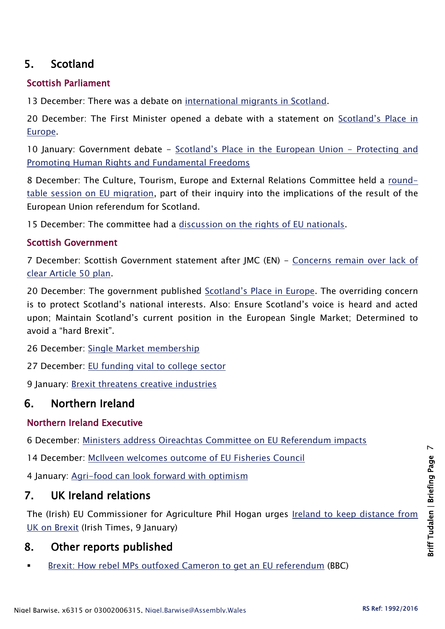# 5. Scotland

# Scottish Parliament

13 December: There was a debate on [international migrants in Scotland.](http://www.parliament.scot/parliamentarybusiness/report.aspx?r=10687&i=98142)

20 December: The First Minister opened a debate with a statement on [Scotland's Place in](http://www.parliament.scot/parliamentarybusiness/report.aspx?r=10701&i=98260)  [Europe.](http://www.parliament.scot/parliamentarybusiness/report.aspx?r=10701&i=98260)

10 January: Government debate - [Scotland's Place in the European Union](http://bb.parliament.scot/#20170110) - Protecting and [Promoting Human Rights and Fundamental Freedoms](http://bb.parliament.scot/#20170110)

8 December: The Culture, Tourism, Europe and External Relations Committee held a [round](http://www.parliament.scot/parliamentarybusiness/report.aspx?r=10685)[table session on EU migration,](http://www.parliament.scot/parliamentarybusiness/report.aspx?r=10685) part of their inquiry into the implications of the result of the European Union referendum for Scotland.

15 December: The committee had a [discussion on the rights of EU nationals.](http://www.parliament.scot/parliamentarybusiness/report.aspx?r=10699&i=98238)

# Scottish Government

7 December: Scottish Government statement after JMC (EN) - [Concerns remain over lack of](http://news.gov.scot/news/concerns-remain-over-lack-of-clear-article-50-plan)  [clear Article 50 plan.](http://news.gov.scot/news/concerns-remain-over-lack-of-clear-article-50-plan)

20 December: The government published [Scotland's Place in Europe](http://www.gov.scot/Resource/0051/00512073.pdf). The overriding concern is to protect Scotland's national interests. Also: Ensure Scotland's voice is heard and acted upon; Maintain Scotland's current position in the European Single Market; Determined to avoid a "hard Brexit".

26 December: [Single Market membership](http://news.gov.scot/news/single-market-membership)

27 December: [EU funding vital to college sector](http://news.gov.scot/news/eu-funding-vital-to-college-sector)

9 January: [Brexit threatens creative industries](http://news.gov.scot/news/brexit-threatens-creative-industries)

# 6. Northern Ireland

# Northern Ireland Executive

6 December: [Ministers address Oireachtas Committee on EU Referendum impacts](https://www.finance-ni.gov.uk/news/ministers-address-oireachtas-committee-eu-referendum-impacts)

14 December: [McIlveen welcomes outcome of EU Fisheries Council](https://www.daera-ni.gov.uk/news/mcilveen-welcomes-outcome-eu-fisheries-council)

4 January: [Agri-food can look forward with optimism](https://www.daera-ni.gov.uk/news/agri-food-can-look-forward-optimism-mcilveen-tells-prestigious-farming-conference)

# 7. UK Ireland relations

The (Irish) EU Commissioner for Agriculture Phil Hogan urges [Ireland to keep distance from](http://www.irishtimes.com/news/politics/phil-hogan-urges-ireland-to-keep-distance-from-uk-on-brexit-1.2929333#.WHNSUhA304o.twitter)  [UK on Brexit](http://www.irishtimes.com/news/politics/phil-hogan-urges-ireland-to-keep-distance-from-uk-on-brexit-1.2929333#.WHNSUhA304o.twitter) (Irish Times, 9 January)

# 8. Other reports published

[Brexit: How rebel MPs outfoxed Cameron to get an EU referendum](http://www.bbc.co.uk/news/uk-politics-parliaments-38402140) (BBC)